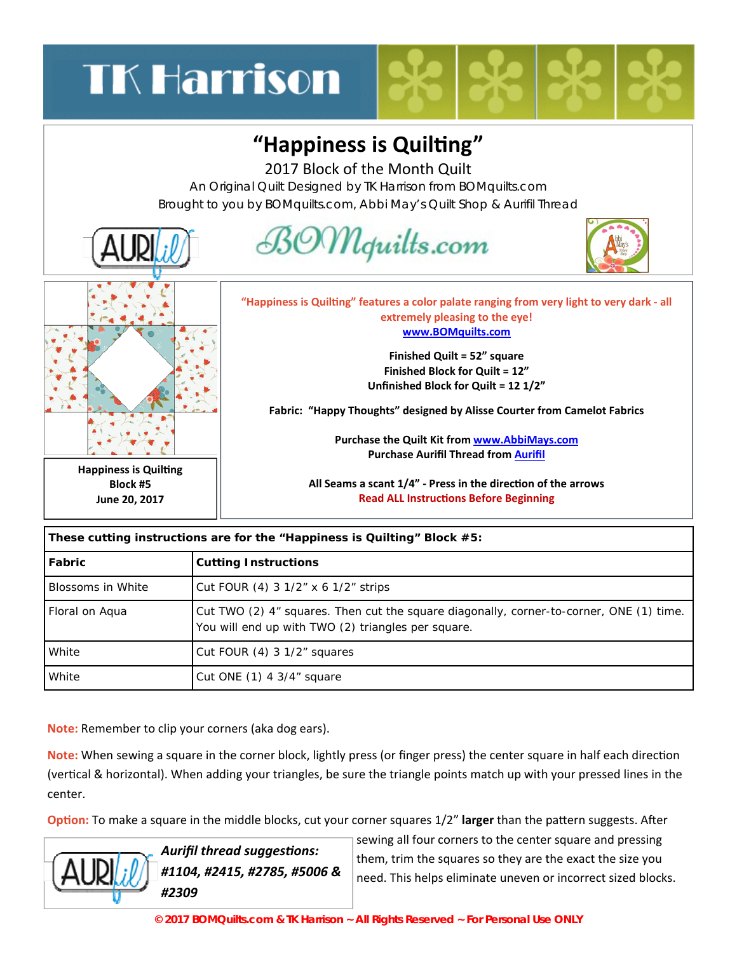## **TK Harrison**

## **"Happiness is QuilƟng"**

2017 Block of the Month Quilt

An Original Quilt Designed by TK Harrison from BOMquilts.com Brought to you by BOMquilts.com, Abbi May's Quilt Shop & Aurifil Thread



| These cutting instructions are for the "Happiness is Quilting" Block #5: |                                                                                                                                               |
|--------------------------------------------------------------------------|-----------------------------------------------------------------------------------------------------------------------------------------------|
| Fabric                                                                   | <b>Cutting Instructions</b>                                                                                                                   |
| Blossoms in White                                                        | Cut FOUR (4) 3 $1/2$ " x 6 $1/2$ " strips                                                                                                     |
| Floral on Aqua                                                           | Cut TWO (2) 4" squares. Then cut the square diagonally, corner-to-corner, ONE (1) time.<br>You will end up with TWO (2) triangles per square. |
| White                                                                    | Cut FOUR (4) 3 1/2" squares                                                                                                                   |
| White                                                                    | Cut ONE $(1)$ 4 3/4" square                                                                                                                   |

**Note:** Remember to clip your corners (aka dog ears).

**Note:** When sewing a square in the corner block, lightly press (or finger press) the center square in half each direction (vertical & horizontal). When adding your triangles, be sure the triangle points match up with your pressed lines in the center.

**Option:** To make a square in the middle blocks, cut your corner squares 1/2" larger than the pattern suggests. After



*Aurifil thread suggesƟons: #1104, #2415, #2785, #5006 & #2309* 

sewing all four corners to the center square and pressing them, trim the squares so they are the exact the size you need. This helps eliminate uneven or incorrect sized blocks.